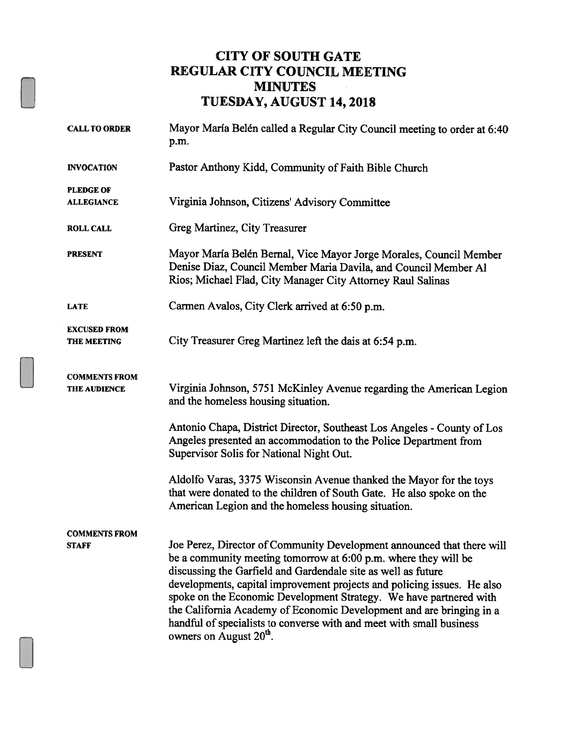### CITY OF SOUTH GATE REGULAR CITY COUNCIL MEETiNG MINUTES TUESDAY, AUGUST 14, 2018

| <b>CALL TO ORDER</b>                        | Mayor María Belén called a Regular City Council meeting to order at 6:40<br>p.m.                                                                                                                                                                                                                                                                                                                                                                                                                                                                   |
|---------------------------------------------|----------------------------------------------------------------------------------------------------------------------------------------------------------------------------------------------------------------------------------------------------------------------------------------------------------------------------------------------------------------------------------------------------------------------------------------------------------------------------------------------------------------------------------------------------|
| <b>INVOCATION</b>                           | Pastor Anthony Kidd, Community of Faith Bible Church                                                                                                                                                                                                                                                                                                                                                                                                                                                                                               |
| <b>PLEDGE OF</b><br><b>ALLEGIANCE</b>       | Virginia Johnson, Citizens' Advisory Committee                                                                                                                                                                                                                                                                                                                                                                                                                                                                                                     |
| <b>ROLL CALL</b>                            | Greg Martinez, City Treasurer                                                                                                                                                                                                                                                                                                                                                                                                                                                                                                                      |
| <b>PRESENT</b>                              | Mayor María Belén Bernal, Vice Mayor Jorge Morales, Council Member<br>Denise Diaz, Council Member Maria Davila, and Council Member Al<br>Rios; Michael Flad, City Manager City Attorney Raul Salinas                                                                                                                                                                                                                                                                                                                                               |
| <b>LATE</b>                                 | Carmen Avalos, City Clerk arrived at 6:50 p.m.                                                                                                                                                                                                                                                                                                                                                                                                                                                                                                     |
| <b>EXCUSED FROM</b><br><b>THE MEETING</b>   | City Treasurer Greg Martinez left the dais at 6:54 p.m.                                                                                                                                                                                                                                                                                                                                                                                                                                                                                            |
| <b>COMMENTS FROM</b><br><b>THE AUDIENCE</b> | Virginia Johnson, 5751 McKinley Avenue regarding the American Legion<br>and the homeless housing situation.                                                                                                                                                                                                                                                                                                                                                                                                                                        |
|                                             | Antonio Chapa, District Director, Southeast Los Angeles - County of Los<br>Angeles presented an accommodation to the Police Department from<br>Supervisor Solis for National Night Out.                                                                                                                                                                                                                                                                                                                                                            |
|                                             | Aldolfo Varas, 3375 Wisconsin Avenue thanked the Mayor for the toys<br>that were donated to the children of South Gate. He also spoke on the<br>American Legion and the homeless housing situation.                                                                                                                                                                                                                                                                                                                                                |
| <b>COMMENTS FROM</b><br><b>STAFF</b>        | Joe Perez, Director of Community Development announced that there will<br>be a community meeting tomorrow at 6:00 p.m. where they will be<br>discussing the Garfield and Gardendale site as well as future<br>developments, capital improvement projects and policing issues. He also<br>spoke on the Economic Development Strategy. We have partnered with<br>the California Academy of Economic Development and are bringing in a<br>handful of specialists to converse with and meet with small business<br>owners on August 20 <sup>th</sup> . |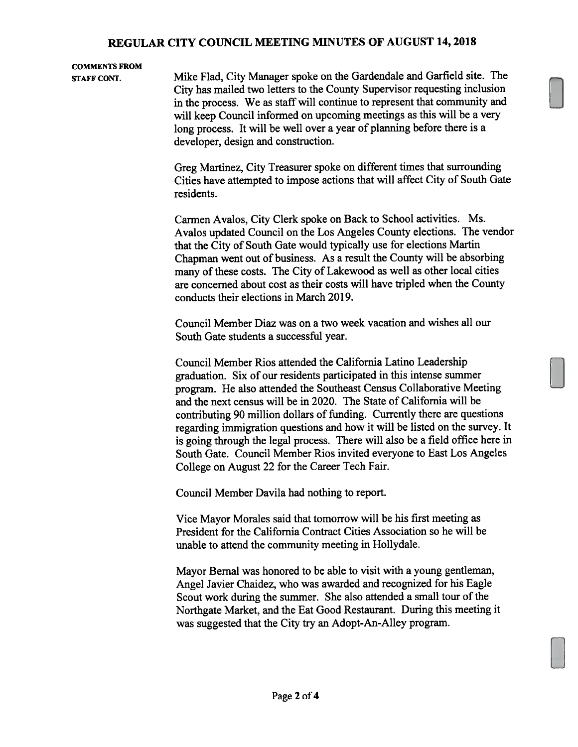#### REGULAR CITY COUNCiL MEETING MINUTES OF AUGUST 14, 2018

## COMMENTS FROM

STAFF CONT. Mike Flad, City Manager spoke on the Gardendale and Garfield site. The City has mailed two letters to the County Supervisor requesting inclusion in the process. We as staff will continue to represent that community and will keep Council informed on upcoming meetings as this will be a very long process. It will be well over a year of planning before there is a developer, design and construction.

> Greg Martinez, City Treasurer spoke on different times that surrounding Cities have attempted to impose actions that will affect City of South Gate residents.

> Carmen Avalos, City Clerk spoke on Back to School activities. Ms. Avalos updated Council on the Los Angeles County elections. The vendor that the City of South Gate would typically use for elections Martin Chapman went out of business. As a result the County will be absorbing many of these costs. The City of Lakewood as well as other local cities are concerned about cost as their costs will have tripled when the County conducts their elections in March 2019.

Council Member Diaz was on a two week vacation and wishes all our South Gate students a successful year.

Council Member Rios attended the California Latino Leadership graduation. Six of our residents participated in this intense summer program. He also attended the Southeast Census Collaborative Meeting and the next census will be in 2020. The State of California will be contributing 90 million dollars of funding. Currently there are questions regarding immigration questions and how it will be listed on the survey. It is going through the legal process. There will also be a field office here in South Gate. Council Member Rios invited everyone to East Los Angeles College on August 22 for the Career Tech Fair.

Council Member Davila had nothing to report.

Vice Mayor Morales said that tomorrow will be his first meeting as President for the California Contract Cities Association so he will be unable to attend the community meeting in Hollydale.

Mayor Bernal was honored to be able to visit with a young gentleman, Angel Javier Chaidez, who was awarded and recognized for his Eagle Scout work during the summer. She also attended a small tour of the Northgate Market, and the Eat Good Restaurant. During this meeting it was suggested that the City try an Adopt-An-Alley program.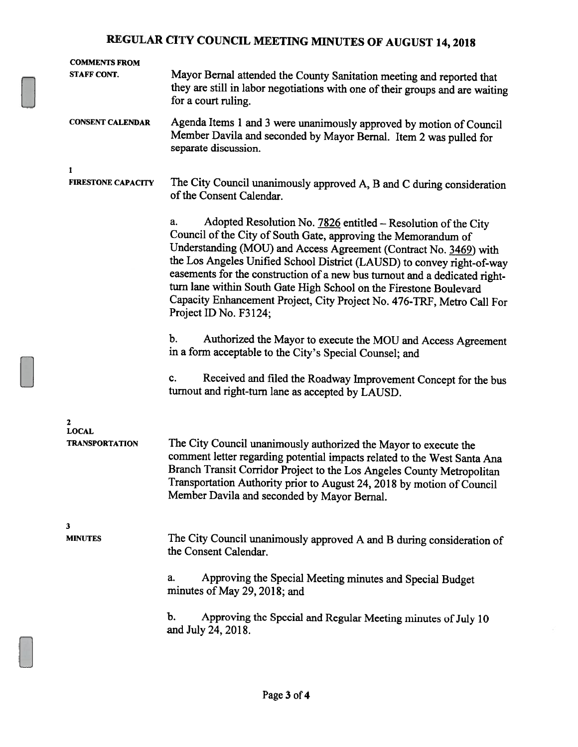# REGULAR CITY COUNCIL MEETING MINUTES OF AUGUST 14, <sup>2018</sup>

| <b>COMMENTS FROM</b><br><b>STAFF CONT.</b> | Mayor Bernal attended the County Sanitation meeting and reported that<br>they are still in labor negotiations with one of their groups and are waiting<br>for a court ruling.                                                                                                                                                                                                                                                                                                                                                               |
|--------------------------------------------|---------------------------------------------------------------------------------------------------------------------------------------------------------------------------------------------------------------------------------------------------------------------------------------------------------------------------------------------------------------------------------------------------------------------------------------------------------------------------------------------------------------------------------------------|
| <b>CONSENT CALENDAR</b>                    | Agenda Items 1 and 3 were unanimously approved by motion of Council<br>Member Davila and seconded by Mayor Bernal. Item 2 was pulled for<br>separate discussion.                                                                                                                                                                                                                                                                                                                                                                            |
| 1<br><b>FIRESTONE CAPACITY</b>             | The City Council unanimously approved A, B and C during consideration<br>of the Consent Calendar.                                                                                                                                                                                                                                                                                                                                                                                                                                           |
|                                            | Adopted Resolution No. 7826 entitled - Resolution of the City<br>a.<br>Council of the City of South Gate, approving the Memorandum of<br>Understanding (MOU) and Access Agreement (Contract No. 3469) with<br>the Los Angeles Unified School District (LAUSD) to convey right-of-way<br>easements for the construction of a new bus turnout and a dedicated right-<br>turn lane within South Gate High School on the Firestone Boulevard<br>Capacity Enhancement Project, City Project No. 476-TRF, Metro Call For<br>Project ID No. F3124; |
|                                            | b.<br>Authorized the Mayor to execute the MOU and Access Agreement<br>in a form acceptable to the City's Special Counsel; and                                                                                                                                                                                                                                                                                                                                                                                                               |
|                                            | Received and filed the Roadway Improvement Concept for the bus<br>c.<br>turnout and right-turn lane as accepted by LAUSD.                                                                                                                                                                                                                                                                                                                                                                                                                   |
| 2<br><b>LOCAL</b><br><b>TRANSPORTATION</b> | The City Council unanimously authorized the Mayor to execute the<br>comment letter regarding potential impacts related to the West Santa Ana<br>Branch Transit Corridor Project to the Los Angeles County Metropolitan<br>Transportation Authority prior to August 24, 2018 by motion of Council<br>Member Davila and seconded by Mayor Bernal.                                                                                                                                                                                             |
| 3<br><b>MINUTES</b>                        | The City Council unanimously approved A and B during consideration of<br>the Consent Calendar.<br>Approving the Special Meeting minutes and Special Budget<br>a.<br>minutes of May 29, 2018; and                                                                                                                                                                                                                                                                                                                                            |
|                                            | b.<br>Approving the Special and Regular Meeting minutes of July 10<br>and July 24, 2018.                                                                                                                                                                                                                                                                                                                                                                                                                                                    |